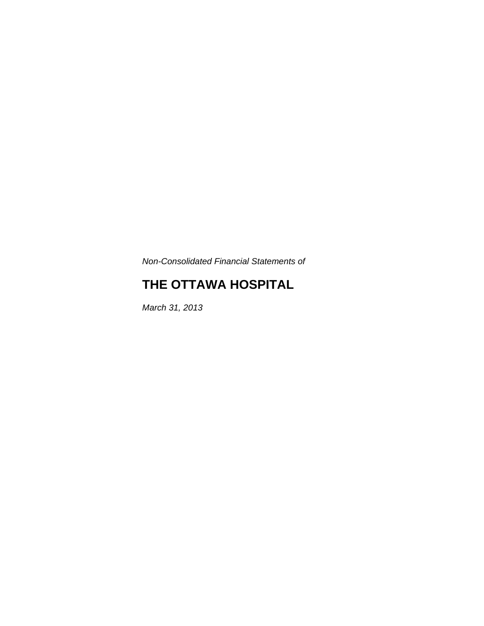*Non-Consolidated Financial Statements of* 

# **THE OTTAWA HOSPITAL**

*March 31, 2013*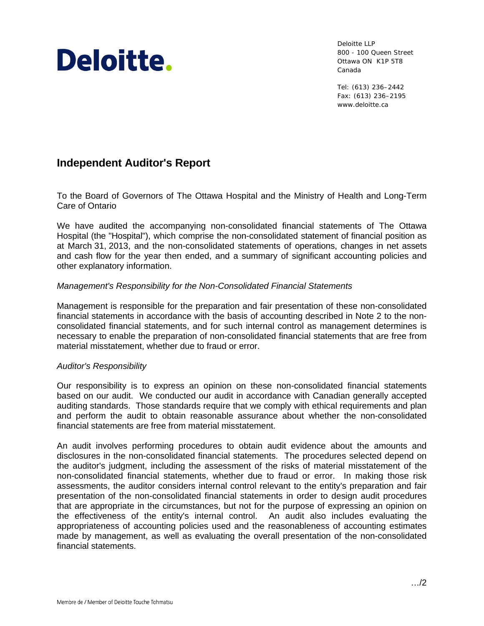

Deloitte LLP 800 - 100 Queen Street Ottawa ON K1P 5T8 Canada

Tel: (613) 236–2442 Fax: (613) 236–2195 www.deloitte.ca

# **Independent Auditor's Report**

To the Board of Governors of The Ottawa Hospital and the Ministry of Health and Long-Term Care of Ontario

We have audited the accompanying non-consolidated financial statements of The Ottawa Hospital (the "Hospital"), which comprise the non-consolidated statement of financial position as at March 31, 2013, and the non-consolidated statements of operations, changes in net assets and cash flow for the year then ended, and a summary of significant accounting policies and other explanatory information.

## *Management's Responsibility for the Non-Consolidated Financial Statements*

Management is responsible for the preparation and fair presentation of these non-consolidated financial statements in accordance with the basis of accounting described in Note 2 to the nonconsolidated financial statements, and for such internal control as management determines is necessary to enable the preparation of non-consolidated financial statements that are free from material misstatement, whether due to fraud or error.

## *Auditor's Responsibility*

Our responsibility is to express an opinion on these non-consolidated financial statements based on our audit. We conducted our audit in accordance with Canadian generally accepted auditing standards. Those standards require that we comply with ethical requirements and plan and perform the audit to obtain reasonable assurance about whether the non-consolidated financial statements are free from material misstatement.

An audit involves performing procedures to obtain audit evidence about the amounts and disclosures in the non-consolidated financial statements. The procedures selected depend on the auditor's judgment, including the assessment of the risks of material misstatement of the non-consolidated financial statements, whether due to fraud or error. In making those risk assessments, the auditor considers internal control relevant to the entity's preparation and fair presentation of the non-consolidated financial statements in order to design audit procedures that are appropriate in the circumstances, but not for the purpose of expressing an opinion on the effectiveness of the entity's internal control. An audit also includes evaluating the appropriateness of accounting policies used and the reasonableness of accounting estimates made by management, as well as evaluating the overall presentation of the non-consolidated financial statements.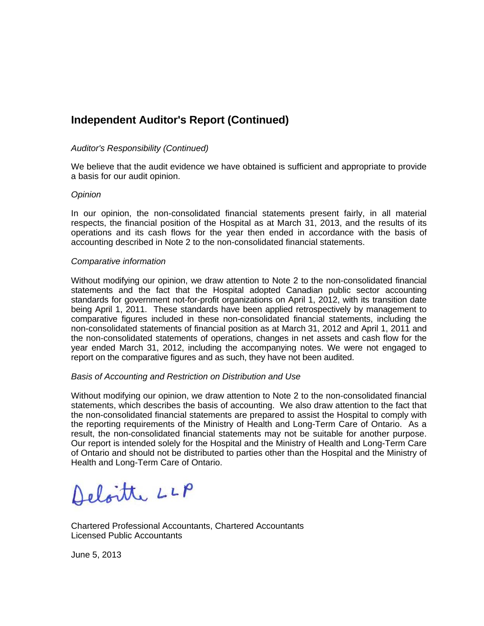# **Independent Auditor's Report (Continued)**

## *Auditor's Responsibility (Continued)*

We believe that the audit evidence we have obtained is sufficient and appropriate to provide a basis for our audit opinion.

## *Opinion*

In our opinion, the non-consolidated financial statements present fairly, in all material respects, the financial position of the Hospital as at March 31, 2013, and the results of its operations and its cash flows for the year then ended in accordance with the basis of accounting described in Note 2 to the non-consolidated financial statements.

## *Comparative information*

Without modifying our opinion, we draw attention to Note 2 to the non-consolidated financial statements and the fact that the Hospital adopted Canadian public sector accounting standards for government not-for-profit organizations on April 1, 2012, with its transition date being April 1, 2011. These standards have been applied retrospectively by management to comparative figures included in these non-consolidated financial statements, including the non-consolidated statements of financial position as at March 31, 2012 and April 1, 2011 and the non-consolidated statements of operations, changes in net assets and cash flow for the year ended March 31, 2012, including the accompanying notes. We were not engaged to report on the comparative figures and as such, they have not been audited.

## *Basis of Accounting and Restriction on Distribution and Use*

Without modifying our opinion, we draw attention to Note 2 to the non-consolidated financial statements, which describes the basis of accounting. We also draw attention to the fact that the non-consolidated financial statements are prepared to assist the Hospital to comply with the reporting requirements of the Ministry of Health and Long-Term Care of Ontario. As a result, the non-consolidated financial statements may not be suitable for another purpose. Our report is intended solely for the Hospital and the Ministry of Health and Long-Term Care of Ontario and should not be distributed to parties other than the Hospital and the Ministry of Health and Long-Term Care of Ontario.

Deloitte LLP

Chartered Professional Accountants, Chartered Accountants Licensed Public Accountants

June 5, 2013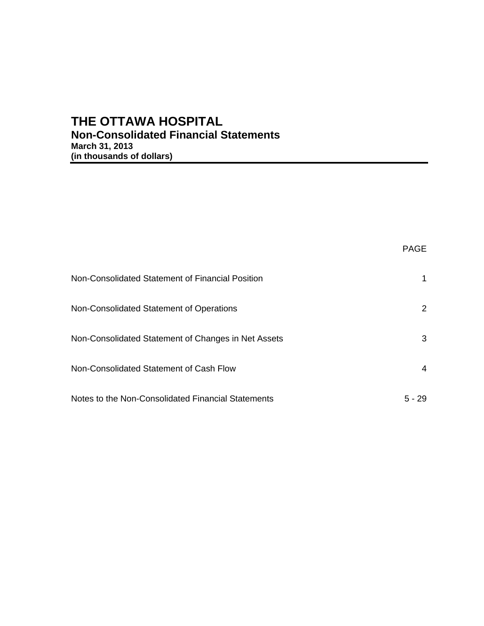# **THE OTTAWA HOSPITAL Non-Consolidated Financial Statements March 31, 2013 (in thousands of dollars)**

|                                                     | PAGE      |
|-----------------------------------------------------|-----------|
| Non-Consolidated Statement of Financial Position    |           |
| Non-Consolidated Statement of Operations            | 2         |
| Non-Consolidated Statement of Changes in Net Assets | 3         |
| Non-Consolidated Statement of Cash Flow             | 4         |
| Notes to the Non-Consolidated Financial Statements  | 5 -<br>29 |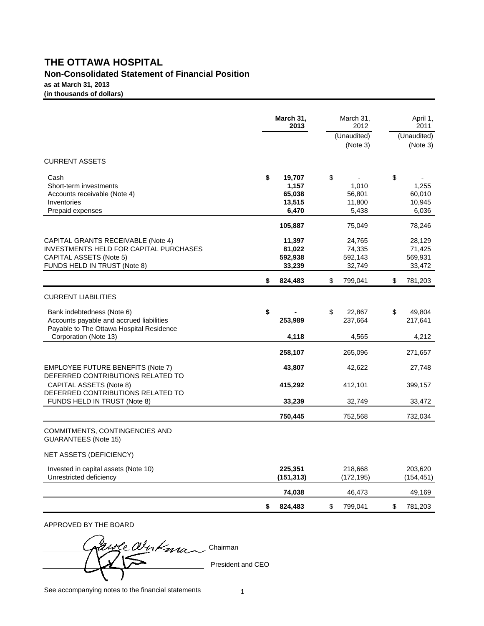# **THE OTTAWA HOSPITAL**

## **Non-Consolidated Statement of Financial Position**

# **as at March 31, 2013**

**(in thousands of dollars)**

|                                                                                                                                                  | March 31,<br>2013 |                                              | March 31,<br>2012 |                                       | April 1,<br>2011                            |
|--------------------------------------------------------------------------------------------------------------------------------------------------|-------------------|----------------------------------------------|-------------------|---------------------------------------|---------------------------------------------|
|                                                                                                                                                  |                   |                                              |                   | (Unaudited)<br>(Note 3)               | (Unaudited)<br>(Note 3)                     |
| <b>CURRENT ASSETS</b>                                                                                                                            |                   |                                              |                   |                                       |                                             |
| Cash<br>Short-term investments<br>Accounts receivable (Note 4)<br>Inventories<br>Prepaid expenses                                                | \$                | 19,707<br>1,157<br>65,038<br>13,515<br>6,470 | \$                | 1,010<br>56,801<br>11,800<br>5,438    | \$<br>1,255<br>60,010<br>10,945<br>6,036    |
|                                                                                                                                                  |                   | 105,887                                      |                   | 75,049                                | 78,246                                      |
| CAPITAL GRANTS RECEIVABLE (Note 4)<br><b>INVESTMENTS HELD FOR CAPITAL PURCHASES</b><br>CAPITAL ASSETS (Note 5)<br>FUNDS HELD IN TRUST (Note 8)   | \$                | 11,397<br>81,022<br>592,938<br>33,239        | \$                | 24,765<br>74,335<br>592,143<br>32,749 | \$<br>28,129<br>71,425<br>569,931<br>33,472 |
|                                                                                                                                                  |                   | 824,483                                      |                   | 799,041                               | 781,203                                     |
| <b>CURRENT LIABILITIES</b><br>Bank indebtedness (Note 6)<br>Accounts payable and accrued liabilities<br>Payable to The Ottawa Hospital Residence | \$                | 253,989                                      | \$                | 22,867<br>237,664                     | \$<br>49,804<br>217,641                     |
| Corporation (Note 13)                                                                                                                            |                   | 4,118                                        |                   | 4,565                                 | 4,212                                       |
|                                                                                                                                                  |                   | 258,107                                      |                   | 265,096                               | 271,657                                     |
| EMPLOYEE FUTURE BENEFITS (Note 7)<br>DEFERRED CONTRIBUTIONS RELATED TO                                                                           |                   | 43,807                                       |                   | 42,622                                | 27,748                                      |
| CAPITAL ASSETS (Note 8)<br>DEFERRED CONTRIBUTIONS RELATED TO                                                                                     |                   | 415,292                                      |                   | 412,101                               | 399,157                                     |
| FUNDS HELD IN TRUST (Note 8)                                                                                                                     |                   | 33,239                                       |                   | 32,749                                | 33,472                                      |
|                                                                                                                                                  |                   | 750,445                                      |                   | 752,568                               | 732,034                                     |
| COMMITMENTS, CONTINGENCIES AND<br><b>GUARANTEES (Note 15)</b>                                                                                    |                   |                                              |                   |                                       |                                             |
| NET ASSETS (DEFICIENCY)                                                                                                                          |                   |                                              |                   |                                       |                                             |
| Invested in capital assets (Note 10)<br>Unrestricted deficiency                                                                                  |                   | 225,351<br>(151, 313)                        |                   | 218,668<br>(172, 195)                 | 203,620<br>(154, 451)                       |
|                                                                                                                                                  |                   | 74,038                                       |                   | 46,473                                | 49,169                                      |
|                                                                                                                                                  | \$                | 824,483                                      | \$                | 799,041                               | \$<br>781,203                               |

APPROVED BY THE BOARD

wele Wirkman **President and CEO**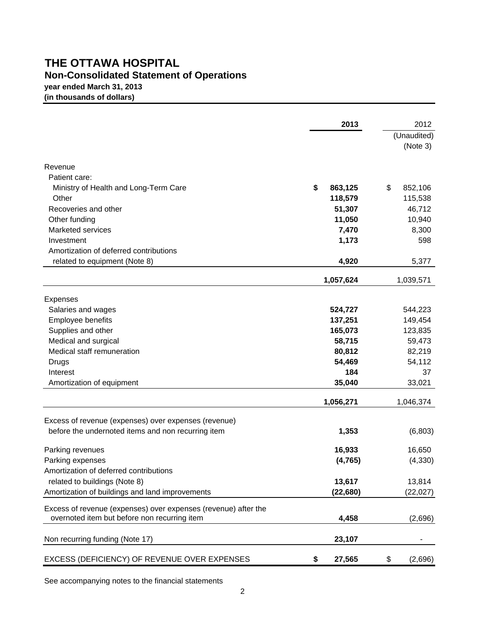# **THE OTTAWA HOSPITAL Non-Consolidated Statement of Operations year ended March 31, 2013**

**(in thousands of dollars)**

|                                                                | 2013          | 2012<br>(Unaudited)<br>(Note 3) |
|----------------------------------------------------------------|---------------|---------------------------------|
| Revenue                                                        |               |                                 |
| Patient care:                                                  |               |                                 |
| Ministry of Health and Long-Term Care                          | \$<br>863,125 | \$<br>852,106                   |
| Other                                                          | 118,579       | 115,538                         |
| Recoveries and other                                           | 51,307        | 46,712                          |
| Other funding                                                  | 11,050        | 10,940                          |
| Marketed services                                              | 7,470         | 8,300                           |
| Investment                                                     | 1,173         | 598                             |
| Amortization of deferred contributions                         |               |                                 |
| related to equipment (Note 8)                                  | 4,920         | 5,377                           |
|                                                                | 1,057,624     | 1,039,571                       |
| <b>Expenses</b>                                                |               |                                 |
| Salaries and wages                                             | 524,727       | 544,223                         |
| Employee benefits                                              | 137,251       | 149,454                         |
| Supplies and other                                             | 165,073       | 123,835                         |
| Medical and surgical                                           | 58,715        | 59,473                          |
| Medical staff remuneration                                     | 80,812        | 82,219                          |
| Drugs                                                          | 54,469        | 54,112                          |
| Interest                                                       | 184           | 37                              |
| Amortization of equipment                                      | 35,040        | 33,021                          |
|                                                                | 1,056,271     | 1,046,374                       |
| Excess of revenue (expenses) over expenses (revenue)           |               |                                 |
| before the undernoted items and non recurring item             | 1,353         | (6,803)                         |
|                                                                |               |                                 |
| Parking revenues                                               | 16,933        | 16,650                          |
| Parking expenses                                               | (4, 765)      | (4, 330)                        |
| Amortization of deferred contributions                         |               |                                 |
| related to buildings (Note 8)                                  | 13,617        | 13,814                          |
| Amortization of buildings and land improvements                | (22, 680)     | (22, 027)                       |
|                                                                |               |                                 |
| Excess of revenue (expenses) over expenses (revenue) after the |               |                                 |
| overnoted item but before non recurring item                   | 4,458         | (2,696)                         |
| Non recurring funding (Note 17)                                | 23,107        |                                 |
| EXCESS (DEFICIENCY) OF REVENUE OVER EXPENSES                   | 27,565<br>\$  | (2,696)<br>\$                   |

See accompanying notes to the financial statements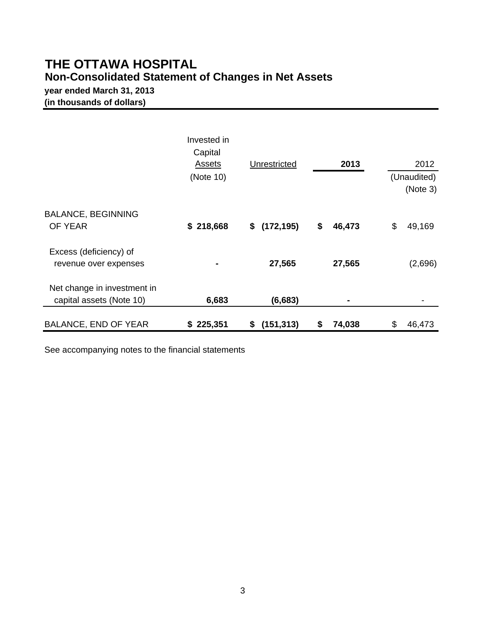# **THE OTTAWA HOSPITAL Non-Consolidated Statement of Changes in Net Assets**

**year ended March 31, 2013 (in thousands of dollars)**

|                                                         | Invested in<br>Capital<br>Assets<br>(Note 10) | Unrestricted     | 2013         | 2012<br>(Unaudited)<br>(Note 3) |
|---------------------------------------------------------|-----------------------------------------------|------------------|--------------|---------------------------------|
| <b>BALANCE, BEGINNING</b>                               |                                               |                  |              |                                 |
| OF YEAR                                                 | \$218,668                                     | \$(172, 195)     | \$<br>46,473 | \$<br>49,169                    |
| Excess (deficiency) of<br>revenue over expenses         |                                               | 27,565           | 27,565       | (2,696)                         |
| Net change in investment in<br>capital assets (Note 10) | 6,683                                         | (6,683)          |              |                                 |
| <b>BALANCE, END OF YEAR</b>                             | \$225,351                                     | \$<br>(151, 313) | \$<br>74,038 | \$<br>46,473                    |

See accompanying notes to the financial statements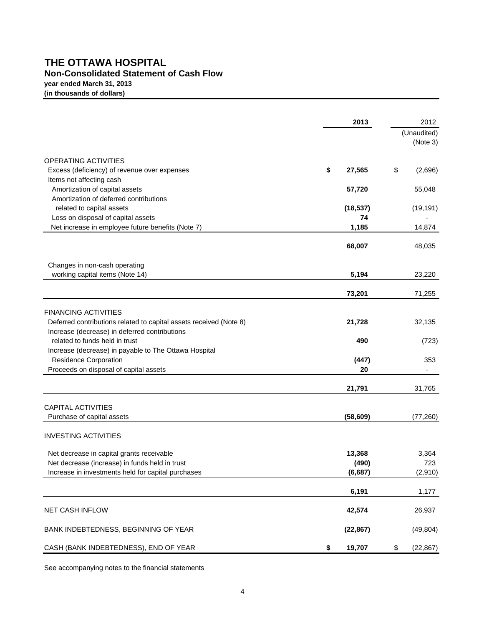## **THE OTTAWA HOSPITAL Non-Consolidated Statement of Cash Flow year ended March 31, 2013**

**(in thousands of dollars)**

|                                                                                             |    | 2012            |    |                         |
|---------------------------------------------------------------------------------------------|----|-----------------|----|-------------------------|
|                                                                                             |    |                 |    | (Unaudited)<br>(Note 3) |
|                                                                                             |    |                 |    |                         |
| <b>OPERATING ACTIVITIES</b>                                                                 |    |                 |    |                         |
| Excess (deficiency) of revenue over expenses                                                | \$ | 27,565          | \$ | (2,696)                 |
| Items not affecting cash<br>Amortization of capital assets                                  |    | 57,720          |    | 55,048                  |
| Amortization of deferred contributions                                                      |    |                 |    |                         |
| related to capital assets                                                                   |    | (18, 537)       |    | (19, 191)               |
| Loss on disposal of capital assets                                                          |    | 74              |    |                         |
| Net increase in employee future benefits (Note 7)                                           |    | 1,185           |    | 14,874                  |
|                                                                                             |    | 68,007          |    | 48,035                  |
|                                                                                             |    |                 |    |                         |
| Changes in non-cash operating                                                               |    |                 |    |                         |
| working capital items (Note 14)                                                             |    | 5,194           |    | 23,220                  |
|                                                                                             |    | 73,201          |    | 71,255                  |
| <b>FINANCING ACTIVITIES</b>                                                                 |    |                 |    |                         |
| Deferred contributions related to capital assets received (Note 8)                          |    | 21,728          |    | 32,135                  |
| Increase (decrease) in deferred contributions                                               |    |                 |    |                         |
| related to funds held in trust                                                              |    | 490             |    | (723)                   |
| Increase (decrease) in payable to The Ottawa Hospital                                       |    |                 |    |                         |
| <b>Residence Corporation</b>                                                                |    | (447)           |    | 353                     |
| Proceeds on disposal of capital assets                                                      |    | 20              |    |                         |
|                                                                                             |    | 21,791          |    | 31,765                  |
| <b>CAPITAL ACTIVITIES</b>                                                                   |    |                 |    |                         |
| Purchase of capital assets                                                                  |    | (58, 609)       |    | (77, 260)               |
| <b>INVESTING ACTIVITIES</b>                                                                 |    |                 |    |                         |
|                                                                                             |    |                 |    |                         |
| Net decrease in capital grants receivable<br>Net decrease (increase) in funds held in trust |    | 13,368<br>(490) |    | 3,364<br>723            |
| Increase in investments held for capital purchases                                          |    | (6,687)         |    | (2,910)                 |
|                                                                                             |    |                 |    |                         |
|                                                                                             |    | 6,191           |    | 1,177                   |
| <b>NET CASH INFLOW</b>                                                                      |    | 42,574          |    | 26,937                  |
| BANK INDEBTEDNESS, BEGINNING OF YEAR                                                        |    | (22, 867)       |    | (49, 804)               |
| CASH (BANK INDEBTEDNESS), END OF YEAR                                                       | \$ | 19,707          | \$ | (22, 867)               |

See accompanying notes to the financial statements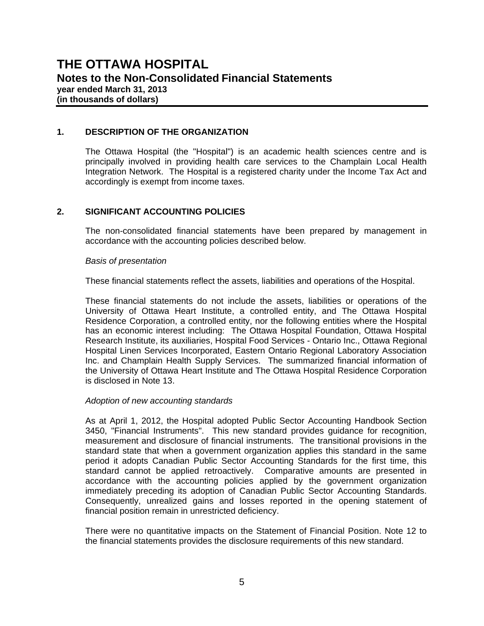## **1. DESCRIPTION OF THE ORGANIZATION**

 The Ottawa Hospital (the "Hospital") is an academic health sciences centre and is principally involved in providing health care services to the Champlain Local Health Integration Network. The Hospital is a registered charity under the Income Tax Act and accordingly is exempt from income taxes.

## **2. SIGNIFICANT ACCOUNTING POLICIES**

The non-consolidated financial statements have been prepared by management in accordance with the accounting policies described below.

#### *Basis of presentation*

These financial statements reflect the assets, liabilities and operations of the Hospital.

These financial statements do not include the assets, liabilities or operations of the University of Ottawa Heart Institute, a controlled entity, and The Ottawa Hospital Residence Corporation, a controlled entity, nor the following entities where the Hospital has an economic interest including: The Ottawa Hospital Foundation, Ottawa Hospital Research Institute, its auxiliaries, Hospital Food Services - Ontario Inc., Ottawa Regional Hospital Linen Services Incorporated, Eastern Ontario Regional Laboratory Association Inc. and Champlain Health Supply Services. The summarized financial information of the University of Ottawa Heart Institute and The Ottawa Hospital Residence Corporation is disclosed in Note 13.

## *Adoption of new accounting standards*

As at April 1, 2012, the Hospital adopted Public Sector Accounting Handbook Section 3450, "Financial Instruments". This new standard provides guidance for recognition, measurement and disclosure of financial instruments. The transitional provisions in the standard state that when a government organization applies this standard in the same period it adopts Canadian Public Sector Accounting Standards for the first time, this standard cannot be applied retroactively. Comparative amounts are presented in accordance with the accounting policies applied by the government organization immediately preceding its adoption of Canadian Public Sector Accounting Standards. Consequently, unrealized gains and losses reported in the opening statement of financial position remain in unrestricted deficiency.

There were no quantitative impacts on the Statement of Financial Position. Note 12 to the financial statements provides the disclosure requirements of this new standard.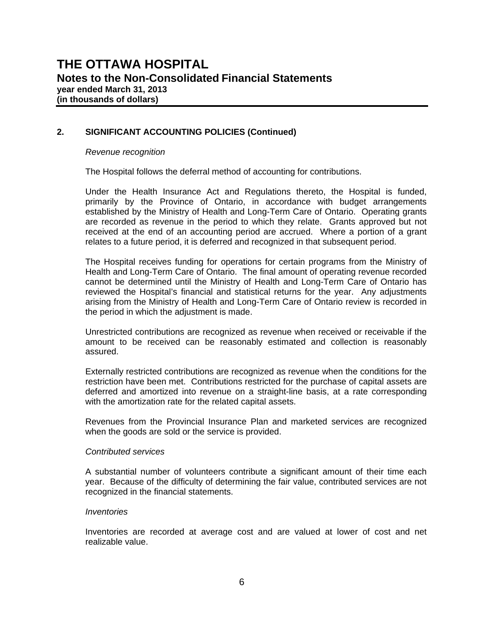## **2. SIGNIFICANT ACCOUNTING POLICIES (Continued)**

## *Revenue recognition*

The Hospital follows the deferral method of accounting for contributions.

Under the Health Insurance Act and Regulations thereto, the Hospital is funded, primarily by the Province of Ontario, in accordance with budget arrangements established by the Ministry of Health and Long-Term Care of Ontario. Operating grants are recorded as revenue in the period to which they relate. Grants approved but not received at the end of an accounting period are accrued. Where a portion of a grant relates to a future period, it is deferred and recognized in that subsequent period.

The Hospital receives funding for operations for certain programs from the Ministry of Health and Long-Term Care of Ontario. The final amount of operating revenue recorded cannot be determined until the Ministry of Health and Long-Term Care of Ontario has reviewed the Hospital's financial and statistical returns for the year. Any adjustments arising from the Ministry of Health and Long-Term Care of Ontario review is recorded in the period in which the adjustment is made.

Unrestricted contributions are recognized as revenue when received or receivable if the amount to be received can be reasonably estimated and collection is reasonably assured.

Externally restricted contributions are recognized as revenue when the conditions for the restriction have been met. Contributions restricted for the purchase of capital assets are deferred and amortized into revenue on a straight-line basis, at a rate corresponding with the amortization rate for the related capital assets.

Revenues from the Provincial Insurance Plan and marketed services are recognized when the goods are sold or the service is provided.

## *Contributed services*

A substantial number of volunteers contribute a significant amount of their time each year. Because of the difficulty of determining the fair value, contributed services are not recognized in the financial statements.

#### *Inventories*

Inventories are recorded at average cost and are valued at lower of cost and net realizable value.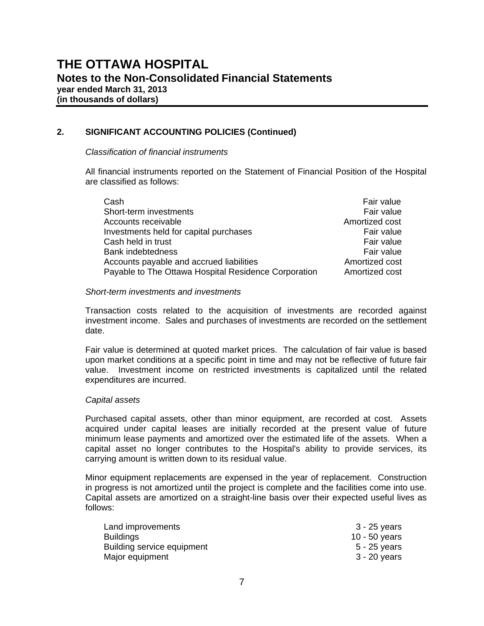## **2. SIGNIFICANT ACCOUNTING POLICIES (Continued)**

#### *Classification of financial instruments*

All financial instruments reported on the Statement of Financial Position of the Hospital are classified as follows:

| Cash                                                 | Fair value     |
|------------------------------------------------------|----------------|
| Short-term investments                               | Fair value     |
| Accounts receivable                                  | Amortized cost |
| Investments held for capital purchases               | Fair value     |
| Cash held in trust                                   | Fair value     |
| <b>Bank indebtedness</b>                             | Fair value     |
| Accounts payable and accrued liabilities             | Amortized cost |
| Payable to The Ottawa Hospital Residence Corporation | Amortized cost |

#### *Short-term investments and investments*

Transaction costs related to the acquisition of investments are recorded against investment income. Sales and purchases of investments are recorded on the settlement date.

Fair value is determined at quoted market prices. The calculation of fair value is based upon market conditions at a specific point in time and may not be reflective of future fair value. Investment income on restricted investments is capitalized until the related expenditures are incurred.

## *Capital assets*

Purchased capital assets, other than minor equipment, are recorded at cost. Assets acquired under capital leases are initially recorded at the present value of future minimum lease payments and amortized over the estimated life of the assets. When a capital asset no longer contributes to the Hospital's ability to provide services, its carrying amount is written down to its residual value.

Minor equipment replacements are expensed in the year of replacement. Construction in progress is not amortized until the project is complete and the facilities come into use. Capital assets are amortized on a straight-line basis over their expected useful lives as follows:

| Land improvements          | 3 - 25 years   |
|----------------------------|----------------|
| <b>Buildings</b>           | 10 - 50 years  |
| Building service equipment | $5 - 25$ years |
| Major equipment            | 3 - 20 years   |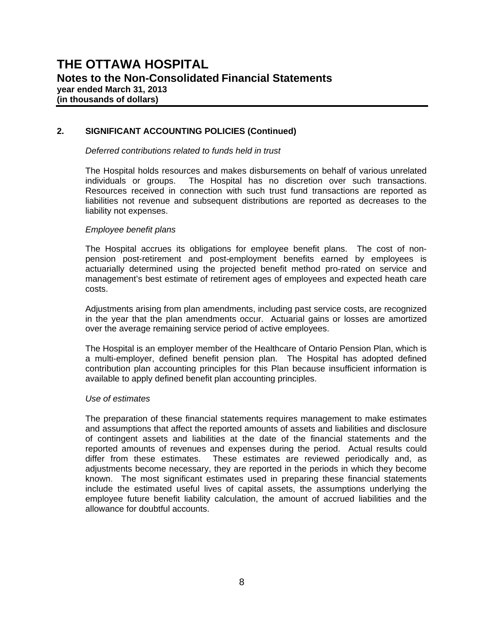## **2. SIGNIFICANT ACCOUNTING POLICIES (Continued)**

#### *Deferred contributions related to funds held in trust*

The Hospital holds resources and makes disbursements on behalf of various unrelated individuals or groups. The Hospital has no discretion over such transactions. Resources received in connection with such trust fund transactions are reported as liabilities not revenue and subsequent distributions are reported as decreases to the liability not expenses.

#### *Employee benefit plans*

The Hospital accrues its obligations for employee benefit plans. The cost of nonpension post-retirement and post-employment benefits earned by employees is actuarially determined using the projected benefit method pro-rated on service and management's best estimate of retirement ages of employees and expected heath care costs.

Adjustments arising from plan amendments, including past service costs, are recognized in the year that the plan amendments occur. Actuarial gains or losses are amortized over the average remaining service period of active employees.

The Hospital is an employer member of the Healthcare of Ontario Pension Plan, which is a multi-employer, defined benefit pension plan. The Hospital has adopted defined contribution plan accounting principles for this Plan because insufficient information is available to apply defined benefit plan accounting principles.

#### *Use of estimates*

The preparation of these financial statements requires management to make estimates and assumptions that affect the reported amounts of assets and liabilities and disclosure of contingent assets and liabilities at the date of the financial statements and the reported amounts of revenues and expenses during the period. Actual results could differ from these estimates. These estimates are reviewed periodically and, as adjustments become necessary, they are reported in the periods in which they become known. The most significant estimates used in preparing these financial statements include the estimated useful lives of capital assets, the assumptions underlying the employee future benefit liability calculation, the amount of accrued liabilities and the allowance for doubtful accounts.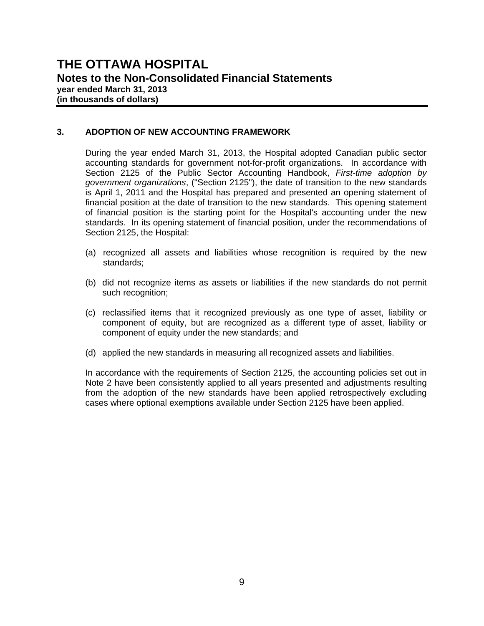## **3. ADOPTION OF NEW ACCOUNTING FRAMEWORK**

During the year ended March 31, 2013, the Hospital adopted Canadian public sector accounting standards for government not-for-profit organizations. In accordance with Section 2125 of the Public Sector Accounting Handbook, *First-time adoption by government organizations*, ("Section 2125"), the date of transition to the new standards is April 1, 2011 and the Hospital has prepared and presented an opening statement of financial position at the date of transition to the new standards. This opening statement of financial position is the starting point for the Hospital's accounting under the new standards. In its opening statement of financial position, under the recommendations of Section 2125, the Hospital:

- (a) recognized all assets and liabilities whose recognition is required by the new standards;
- (b) did not recognize items as assets or liabilities if the new standards do not permit such recognition;
- (c) reclassified items that it recognized previously as one type of asset, liability or component of equity, but are recognized as a different type of asset, liability or component of equity under the new standards; and
- (d) applied the new standards in measuring all recognized assets and liabilities.

In accordance with the requirements of Section 2125, the accounting policies set out in Note 2 have been consistently applied to all years presented and adjustments resulting from the adoption of the new standards have been applied retrospectively excluding cases where optional exemptions available under Section 2125 have been applied.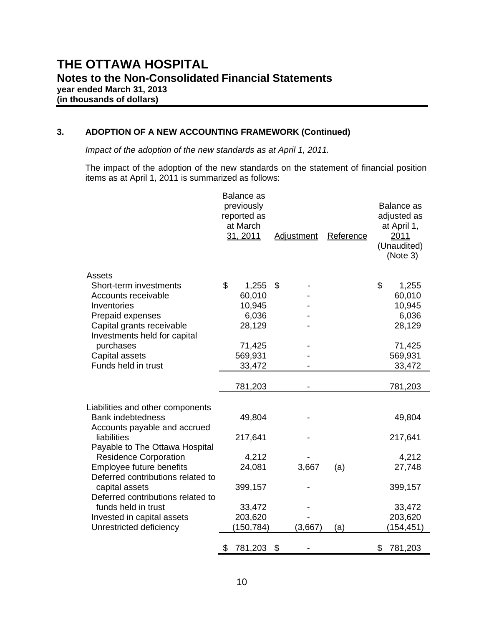# **3. ADOPTION OF A NEW ACCOUNTING FRAMEWORK (Continued)**

*Impact of the adoption of the new standards as at April 1, 2011.* 

The impact of the adoption of the new standards on the statement of financial position items as at April 1, 2011 is summarized as follows:

|                                             | Balance as<br>previously<br>reported as<br>at March<br>31, 2011 |     | <b>Adjustment</b> | Reference | Balance as<br>adjusted as<br>at April 1,<br>2011<br>(Unaudited)<br>(Note 3) |
|---------------------------------------------|-----------------------------------------------------------------|-----|-------------------|-----------|-----------------------------------------------------------------------------|
| Assets                                      |                                                                 |     |                   |           |                                                                             |
| Short-term investments                      | \$<br>1,255                                                     | \$  |                   |           | \$<br>1,255                                                                 |
| Accounts receivable                         | 60,010                                                          |     |                   |           | 60,010                                                                      |
| Inventories                                 | 10,945                                                          |     |                   |           | 10,945                                                                      |
| Prepaid expenses                            | 6,036                                                           |     |                   |           | 6,036                                                                       |
| Capital grants receivable                   | 28,129                                                          |     |                   |           | 28,129                                                                      |
| Investments held for capital                |                                                                 |     |                   |           |                                                                             |
| purchases                                   | 71,425                                                          |     |                   |           | 71,425                                                                      |
| Capital assets                              | 569,931                                                         |     |                   |           | 569,931                                                                     |
| Funds held in trust                         | 33,472                                                          |     |                   |           | 33,472                                                                      |
|                                             | 781,203                                                         |     |                   |           | 781,203                                                                     |
|                                             |                                                                 |     |                   |           |                                                                             |
| Liabilities and other components            |                                                                 |     |                   |           |                                                                             |
| <b>Bank indebtedness</b>                    | 49,804                                                          |     |                   |           | 49,804                                                                      |
| Accounts payable and accrued<br>liabilities | 217,641                                                         |     |                   |           | 217,641                                                                     |
| Payable to The Ottawa Hospital              |                                                                 |     |                   |           |                                                                             |
| <b>Residence Corporation</b>                | 4,212                                                           |     |                   |           | 4,212                                                                       |
| Employee future benefits                    | 24,081                                                          |     | 3,667             | (a)       | 27,748                                                                      |
| Deferred contributions related to           |                                                                 |     |                   |           |                                                                             |
| capital assets                              | 399,157                                                         |     |                   |           | 399,157                                                                     |
| Deferred contributions related to           |                                                                 |     |                   |           |                                                                             |
| funds held in trust                         | 33,472                                                          |     |                   |           | 33,472                                                                      |
| Invested in capital assets                  | 203,620                                                         |     |                   |           | 203,620                                                                     |
| Unrestricted deficiency                     | (150, 784)                                                      |     | (3,667)           | (a)       | (154,451)                                                                   |
|                                             |                                                                 |     |                   |           |                                                                             |
|                                             | \$<br>781,203                                                   | -\$ |                   |           | \$<br>781,203                                                               |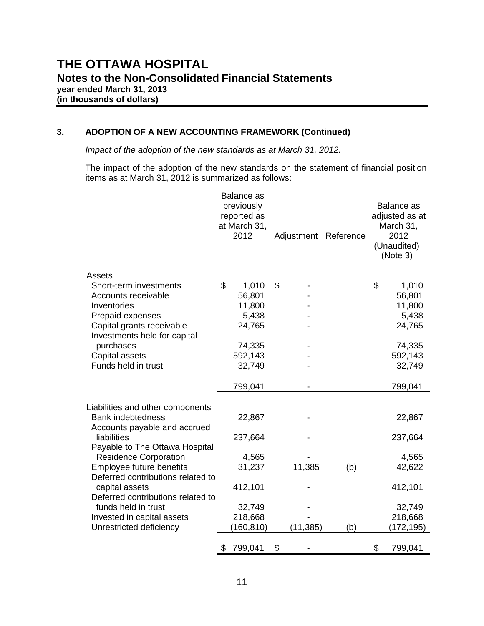**3. ADOPTION OF A NEW ACCOUNTING FRAMEWORK (Continued)** 

*Impact of the adoption of the new standards as at March 31, 2012.* 

The impact of the adoption of the new standards on the statement of financial position items as at March 31, 2012 is summarized as follows:

|                                                                                              | <b>Balance</b> as<br>previously<br>reported as<br>at March 31,<br>2012 | <b>Adjustment</b> | Reference | Balance as<br>adjusted as at<br>March 31,<br>2012<br>(Unaudited)<br>(Note 3) |
|----------------------------------------------------------------------------------------------|------------------------------------------------------------------------|-------------------|-----------|------------------------------------------------------------------------------|
| Assets                                                                                       |                                                                        |                   |           |                                                                              |
| Short-term investments                                                                       | \$<br>1,010                                                            | \$                |           | \$<br>1,010                                                                  |
| Accounts receivable                                                                          | 56,801                                                                 |                   |           | 56,801                                                                       |
| Inventories                                                                                  | 11,800                                                                 |                   |           | 11,800                                                                       |
| Prepaid expenses                                                                             | 5,438                                                                  |                   |           | 5,438                                                                        |
| Capital grants receivable                                                                    | 24,765                                                                 |                   |           | 24,765                                                                       |
| Investments held for capital                                                                 |                                                                        |                   |           |                                                                              |
| purchases                                                                                    | 74,335                                                                 |                   |           | 74,335                                                                       |
| Capital assets                                                                               | 592,143                                                                |                   |           | 592,143                                                                      |
| Funds held in trust                                                                          | 32,749                                                                 |                   |           | 32,749                                                                       |
|                                                                                              | 799,041                                                                |                   |           | 799,041                                                                      |
| Liabilities and other components<br><b>Bank indebtedness</b><br>Accounts payable and accrued | 22,867                                                                 |                   |           | 22,867                                                                       |
| liabilities<br>Payable to The Ottawa Hospital                                                | 237,664                                                                |                   |           | 237,664                                                                      |
| <b>Residence Corporation</b>                                                                 | 4,565                                                                  |                   |           | 4,565                                                                        |
| Employee future benefits<br>Deferred contributions related to                                | 31,237                                                                 | 11,385            | (b)       | 42,622                                                                       |
| capital assets<br>Deferred contributions related to                                          | 412,101                                                                |                   |           | 412,101                                                                      |
| funds held in trust                                                                          | 32,749                                                                 |                   |           | 32,749                                                                       |
| Invested in capital assets                                                                   | 218,668                                                                |                   |           | 218,668                                                                      |
| Unrestricted deficiency                                                                      | (160, 810)                                                             | (11, 385)         | (b)       | (172, 195)                                                                   |
|                                                                                              | \$<br>799,041                                                          | \$                |           | \$<br>799,041                                                                |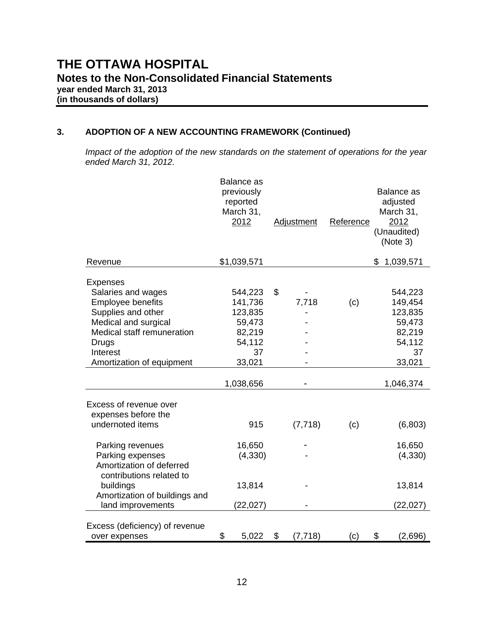# **3. ADOPTION OF A NEW ACCOUNTING FRAMEWORK (Continued)**

*Impact of the adoption of the new standards on the statement of operations for the year ended March 31, 2012.* 

|                                                                          | <b>Balance</b> as<br>previously<br>reported<br>March 31,<br>2012 | Adjustment     | Reference | Balance as<br>adjusted<br>March 31,<br>2012<br>(Unaudited)<br>(Note 3) |
|--------------------------------------------------------------------------|------------------------------------------------------------------|----------------|-----------|------------------------------------------------------------------------|
| Revenue                                                                  | \$1,039,571                                                      |                |           | \$<br>1,039,571                                                        |
| <b>Expenses</b>                                                          |                                                                  |                |           |                                                                        |
| Salaries and wages                                                       | 544,223                                                          | \$             |           | 544,223                                                                |
| Employee benefits                                                        | 141,736                                                          | 7,718          | (c)       | 149,454                                                                |
| Supplies and other                                                       | 123,835                                                          |                |           | 123,835                                                                |
| Medical and surgical                                                     | 59,473                                                           |                |           | 59,473                                                                 |
| Medical staff remuneration                                               | 82,219                                                           |                |           | 82,219                                                                 |
| <b>Drugs</b>                                                             | 54,112                                                           |                |           | 54,112                                                                 |
| Interest                                                                 | 37                                                               |                |           | 37                                                                     |
| Amortization of equipment                                                | 33,021                                                           |                |           | 33,021                                                                 |
|                                                                          | 1,038,656                                                        | -              |           | 1,046,374                                                              |
| Excess of revenue over<br>expenses before the                            |                                                                  |                |           |                                                                        |
| undernoted items                                                         | 915                                                              | (7, 718)       | (c)       | (6,803)                                                                |
| Parking revenues                                                         | 16,650                                                           |                |           | 16,650                                                                 |
| Parking expenses<br>Amortization of deferred<br>contributions related to | (4, 330)                                                         |                |           | (4, 330)                                                               |
| buildings<br>Amortization of buildings and                               | 13,814                                                           |                |           | 13,814                                                                 |
| land improvements                                                        | (22, 027)                                                        |                |           | (22, 027)                                                              |
| Excess (deficiency) of revenue<br>over expenses                          | \$<br>5,022                                                      | \$<br>(7, 718) | (c)       | \$<br>(2,696)                                                          |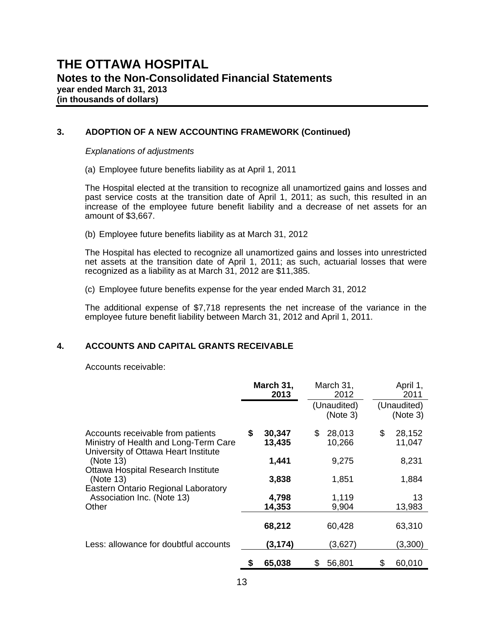## **3. ADOPTION OF A NEW ACCOUNTING FRAMEWORK (Continued)**

*Explanations of adjustments* 

(a) Employee future benefits liability as at April 1, 2011

The Hospital elected at the transition to recognize all unamortized gains and losses and past service costs at the transition date of April 1, 2011; as such, this resulted in an increase of the employee future benefit liability and a decrease of net assets for an amount of \$3,667.

(b) Employee future benefits liability as at March 31, 2012

The Hospital has elected to recognize all unamortized gains and losses into unrestricted net assets at the transition date of April 1, 2011; as such, actuarial losses that were recognized as a liability as at March 31, 2012 are \$11,385.

(c) Employee future benefits expense for the year ended March 31, 2012

The additional expense of \$7,718 represents the net increase of the variance in the employee future benefit liability between March 31, 2012 and April 1, 2011.

## **4. ACCOUNTS AND CAPITAL GRANTS RECEIVABLE**

Accounts receivable:

|                                                                                                                    |    | March 31,<br>2013 | March 31,<br>2012       | April 1,<br>2011        |
|--------------------------------------------------------------------------------------------------------------------|----|-------------------|-------------------------|-------------------------|
|                                                                                                                    |    |                   | (Unaudited)<br>(Note 3) | (Unaudited)<br>(Note 3) |
| Accounts receivable from patients<br>Ministry of Health and Long-Term Care<br>University of Ottawa Heart Institute | \$ | 30,347<br>13,435  | 28,013<br>\$<br>10,266  | \$<br>28,152<br>11,047  |
| (Note 13)                                                                                                          |    | 1,441             | 9,275                   | 8,231                   |
| Ottawa Hospital Research Institute<br>(Note 13)<br>Eastern Ontario Regional Laboratory                             |    | 3,838             | 1,851                   | 1,884                   |
| Association Inc. (Note 13)                                                                                         |    | 4,798             | 1,119                   | 13                      |
| Other                                                                                                              |    | 14,353            | 9,904                   | 13,983                  |
|                                                                                                                    |    | 68,212            | 60,428                  | 63,310                  |
| Less: allowance for doubtful accounts                                                                              |    | (3, 174)          | (3,627)                 | (3,300)                 |
|                                                                                                                    | \$ | 65,038            | 56,801<br>S             | \$<br>60,010            |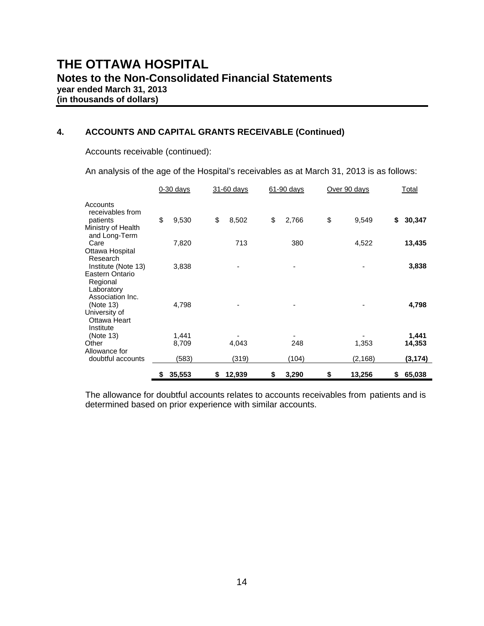# **THE OTTAWA HOSPITAL Notes to the Non-Consolidated Financial Statements year ended March 31, 2013**

**(in thousands of dollars)** 

## **4. ACCOUNTS AND CAPITAL GRANTS RECEIVABLE (Continued)**

Accounts receivable (continued):

An analysis of the age of the Hospital's receivables as at March 31, 2013 is as follows:

|                                                                                   | $0-30$ days    | 31-60 days   | 61-90 days  | Over 90 days | Total           |
|-----------------------------------------------------------------------------------|----------------|--------------|-------------|--------------|-----------------|
| Accounts<br>receivables from<br>patients<br>Ministry of Health                    | \$<br>9,530    | \$<br>8,502  | \$<br>2,766 | \$<br>9,549  | \$<br>30,347    |
| and Long-Term<br>Care                                                             | 7,820          | 713          | 380         | 4,522        | 13,435          |
| Ottawa Hospital<br>Research<br>Institute (Note 13)<br>Eastern Ontario<br>Regional | 3,838          |              |             |              | 3,838           |
| Laboratory<br>Association Inc.<br>(Note 13)<br>University of<br>Ottawa Heart      | 4,798          |              |             |              | 4,798           |
| Institute<br>(Note 13)<br>Other                                                   | 1,441<br>8,709 | 4,043        | 248         | 1,353        | 1,441<br>14,353 |
| Allowance for<br>doubtful accounts                                                | (583)          | (319)        | (104)       | (2, 168)     | (3, 174)        |
|                                                                                   | 35,553<br>\$   | 12,939<br>\$ | \$<br>3,290 | \$<br>13,256 | 65,038<br>\$    |

 The allowance for doubtful accounts relates to accounts receivables from patients and is determined based on prior experience with similar accounts.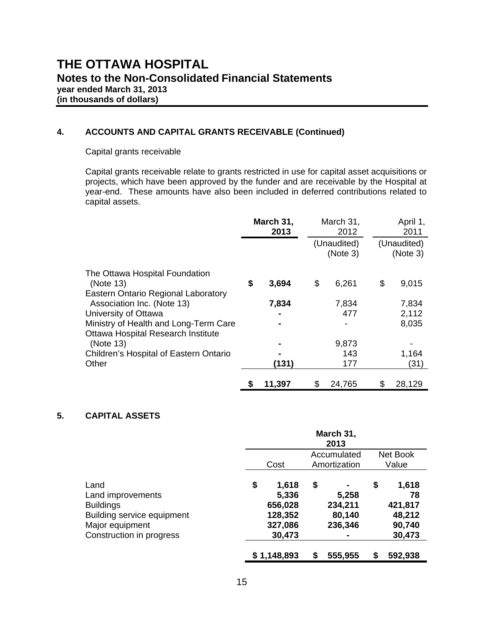## **4. ACCOUNTS AND CAPITAL GRANTS RECEIVABLE (Continued)**

#### Capital grants receivable

Capital grants receivable relate to grants restricted in use for capital asset acquisitions or projects, which have been approved by the funder and are receivable by the Hospital at year-end. These amounts have also been included in deferred contributions related to capital assets.

|                                                                                           | March 31,<br>2013 | March 31,<br>2012       | April 1,<br>2011        |
|-------------------------------------------------------------------------------------------|-------------------|-------------------------|-------------------------|
|                                                                                           |                   | (Unaudited)<br>(Note 3) | (Unaudited)<br>(Note 3) |
| The Ottawa Hospital Foundation<br>(Note 13)<br><b>Eastern Ontario Regional Laboratory</b> | \$<br>3,694       | \$<br>6,261             | \$<br>9,015             |
| Association Inc. (Note 13)                                                                | 7,834             | 7,834                   | 7,834                   |
| University of Ottawa                                                                      |                   | 477                     | 2,112                   |
| Ministry of Health and Long-Term Care<br>Ottawa Hospital Research Institute               |                   |                         | 8,035                   |
| (Note 13)                                                                                 |                   | 9,873                   |                         |
| Children's Hospital of Eastern Ontario                                                    |                   | 143                     | 1,164                   |
| Other                                                                                     | (131)             | 177                     | (31)                    |
|                                                                                           | \$<br>11,397      | \$<br>24,765            | \$<br>28,129            |

## **5. CAPITAL ASSETS**

|                                                                                                                            |                                                                 | March 31,<br>2013                                                  |                                                            |
|----------------------------------------------------------------------------------------------------------------------------|-----------------------------------------------------------------|--------------------------------------------------------------------|------------------------------------------------------------|
|                                                                                                                            | Cost                                                            | Accumulated<br>Amortization                                        | Net Book<br>Value                                          |
| Land<br>Land improvements<br><b>Buildings</b><br>Building service equipment<br>Major equipment<br>Construction in progress | \$<br>1,618<br>5,336<br>656,028<br>128,352<br>327,086<br>30,473 | \$<br>۰<br>5,258<br>234,211<br>80,140<br>236,346<br>$\blacksquare$ | \$<br>1,618<br>78<br>421,817<br>48,212<br>90,740<br>30,473 |
|                                                                                                                            | \$1,148,893                                                     | 555,955<br>S                                                       | 592,938<br>S                                               |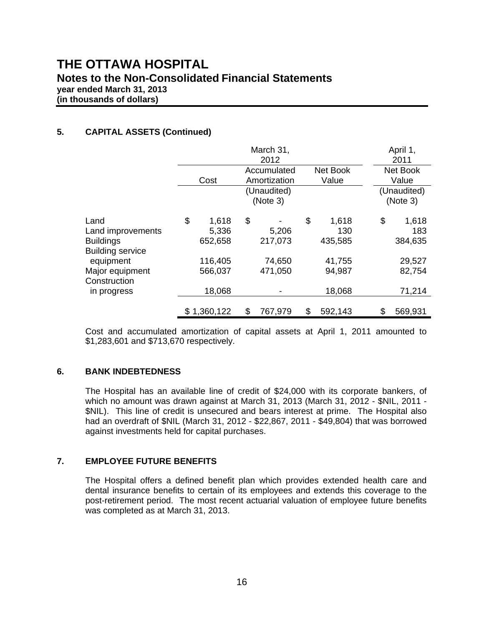# **THE OTTAWA HOSPITAL Notes to the Non-Consolidated Financial Statements year ended March 31, 2013**

**(in thousands of dollars)** 

## **5. CAPITAL ASSETS (Continued)**

|                                                                          |                                 | April 1,<br>2011                                 |                               |                               |
|--------------------------------------------------------------------------|---------------------------------|--------------------------------------------------|-------------------------------|-------------------------------|
|                                                                          | Cost                            | Net Book<br>Accumulated<br>Value<br>Amortization |                               |                               |
|                                                                          | (Unaudited)<br>(Note 3)         |                                                  |                               | (Unaudited)<br>(Note 3)       |
| Land<br>Land improvements<br><b>Buildings</b><br><b>Building service</b> | \$<br>1,618<br>5,336<br>652,658 | \$<br>5,206<br>217,073                           | \$<br>1,618<br>130<br>435,585 | \$<br>1,618<br>183<br>384,635 |
| equipment                                                                | 116,405                         | 74,650                                           | 41,755                        | 29,527                        |
| Major equipment<br>Construction                                          | 566,037                         | 471,050                                          | 94,987                        | 82,754                        |
| in progress                                                              | 18,068                          |                                                  | 18,068                        | 71,214                        |
|                                                                          | \$1,360,122                     | \$<br>767,979                                    | \$<br>592,143                 | 569,931<br>\$                 |

Cost and accumulated amortization of capital assets at April 1, 2011 amounted to \$1,283,601 and \$713,670 respectively.

## **6. BANK INDEBTEDNESS**

The Hospital has an available line of credit of \$24,000 with its corporate bankers, of which no amount was drawn against at March 31, 2013 (March 31, 2012 - \$NIL, 2011 - \$NIL). This line of credit is unsecured and bears interest at prime. The Hospital also had an overdraft of \$NIL (March 31, 2012 - \$22,867, 2011 - \$49,804) that was borrowed against investments held for capital purchases.

## **7. EMPLOYEE FUTURE BENEFITS**

The Hospital offers a defined benefit plan which provides extended health care and dental insurance benefits to certain of its employees and extends this coverage to the post-retirement period. The most recent actuarial valuation of employee future benefits was completed as at March 31, 2013.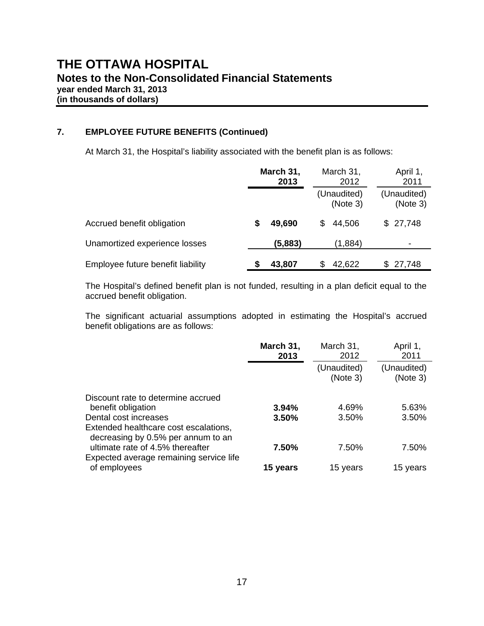## **7. EMPLOYEE FUTURE BENEFITS (Continued)**

At March 31, the Hospital's liability associated with the benefit plan is as follows:

|                                   | March 31,<br>2013 | March 31,<br>2012       | April 1,<br>2011        |
|-----------------------------------|-------------------|-------------------------|-------------------------|
|                                   |                   | (Unaudited)<br>(Note 3) | (Unaudited)<br>(Note 3) |
| Accrued benefit obligation        | 49,690<br>5       | 44,506<br>S             | \$27,748                |
| Unamortized experience losses     | (5,883)           | (1,884)                 |                         |
| Employee future benefit liability | 43,807            | 42,622<br>S             | \$27,748                |

The Hospital's defined benefit plan is not funded, resulting in a plan deficit equal to the accrued benefit obligation.

The significant actuarial assumptions adopted in estimating the Hospital's accrued benefit obligations are as follows:

|                                                                             | March 31,<br>2013 | March 31,<br>2012       | April 1,<br>2011        |
|-----------------------------------------------------------------------------|-------------------|-------------------------|-------------------------|
|                                                                             |                   | (Unaudited)<br>(Note 3) | (Unaudited)<br>(Note 3) |
| Discount rate to determine accrued                                          |                   |                         |                         |
| benefit obligation                                                          | 3.94%             | 4.69%                   | 5.63%                   |
| Dental cost increases                                                       | 3.50%             | 3.50%                   | 3.50%                   |
| Extended healthcare cost escalations,<br>decreasing by 0.5% per annum to an |                   |                         |                         |
| ultimate rate of 4.5% thereafter                                            | 7.50%             | 7.50%                   | 7.50%                   |
| Expected average remaining service life                                     |                   |                         |                         |
| of employees                                                                | 15 years          | 15 years                | 15 years                |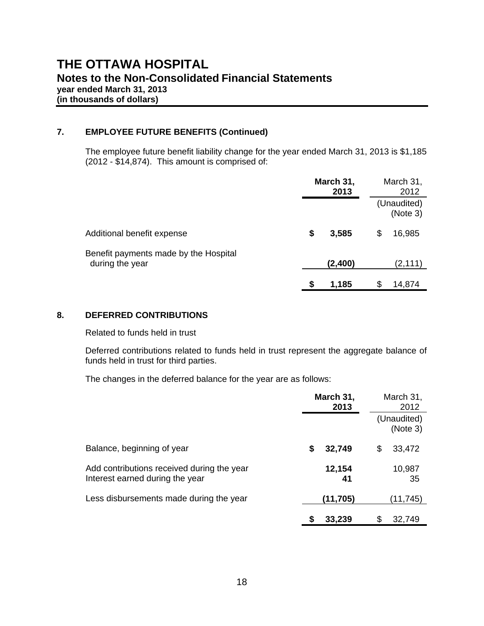## **7. EMPLOYEE FUTURE BENEFITS (Continued)**

The employee future benefit liability change for the year ended March 31, 2013 is \$1,185 (2012 - \$14,874). This amount is comprised of:

|                                                          | March 31,<br>2013 |         | March 31,<br>2012 |                         |
|----------------------------------------------------------|-------------------|---------|-------------------|-------------------------|
|                                                          |                   |         |                   | (Unaudited)<br>(Note 3) |
| Additional benefit expense                               | \$                | 3,585   | \$                | 16,985                  |
| Benefit payments made by the Hospital<br>during the year |                   | (2,400) |                   | (2, 111)                |
|                                                          | \$                | 1,185   | \$                | 14,874                  |

## **8. DEFERRED CONTRIBUTIONS**

Related to funds held in trust

Deferred contributions related to funds held in trust represent the aggregate balance of funds held in trust for third parties.

The changes in the deferred balance for the year are as follows:

|                                                                               | March 31,<br>2013 | March 31,<br>2012       |
|-------------------------------------------------------------------------------|-------------------|-------------------------|
|                                                                               |                   | (Unaudited)<br>(Note 3) |
| Balance, beginning of year                                                    | 32,749<br>S       | 33,472<br>\$            |
| Add contributions received during the year<br>Interest earned during the year | 12,154<br>41      | 10,987<br>35            |
| Less disbursements made during the year                                       | (11,705)          | (11,745)                |
|                                                                               | 33,239            | S<br>32,749             |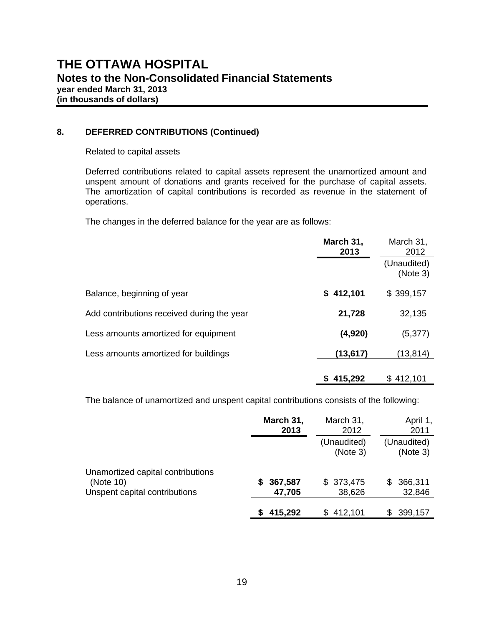## **8. DEFERRED CONTRIBUTIONS (Continued)**

Related to capital assets

Deferred contributions related to capital assets represent the unamortized amount and unspent amount of donations and grants received for the purchase of capital assets. The amortization of capital contributions is recorded as revenue in the statement of operations.

The changes in the deferred balance for the year are as follows:

|                                            | March 31,<br>2013 | March 31,<br>2012       |
|--------------------------------------------|-------------------|-------------------------|
|                                            |                   | (Unaudited)<br>(Note 3) |
| Balance, beginning of year                 | \$412,101         | \$399,157               |
| Add contributions received during the year | 21,728            | 32,135                  |
| Less amounts amortized for equipment       | (4,920)           | (5,377)                 |
| Less amounts amortized for buildings       | (13,617)          | (13,814)                |
|                                            | \$415,292         | \$412,101               |

The balance of unamortized and unspent capital contributions consists of the following:

|                                                                                 | March 31,<br>2013 | March 31,<br>2012       | April 1,<br>2011        |
|---------------------------------------------------------------------------------|-------------------|-------------------------|-------------------------|
|                                                                                 |                   | (Unaudited)<br>(Note 3) | (Unaudited)<br>(Note 3) |
| Unamortized capital contributions<br>(Note 10)<br>Unspent capital contributions | 367,587<br>47,705 | \$373,475<br>38,626     | 366,311<br>S.<br>32,846 |
|                                                                                 | 415,292           | \$412,101               | 399,157<br>SS.          |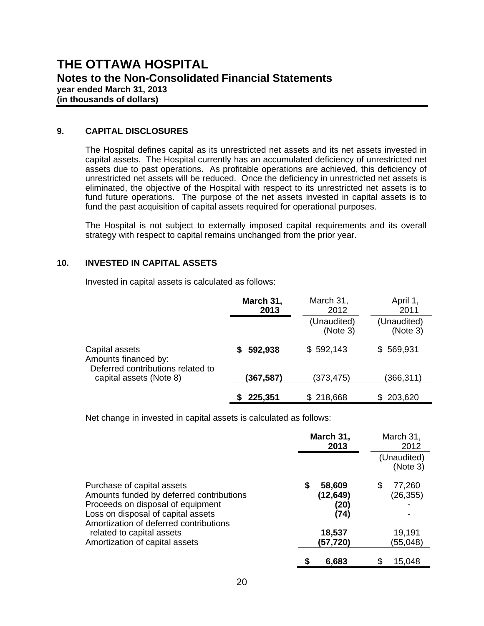## **9. CAPITAL DISCLOSURES**

 The Hospital defines capital as its unrestricted net assets and its net assets invested in capital assets. The Hospital currently has an accumulated deficiency of unrestricted net assets due to past operations. As profitable operations are achieved, this deficiency of unrestricted net assets will be reduced. Once the deficiency in unrestricted net assets is eliminated, the objective of the Hospital with respect to its unrestricted net assets is to fund future operations. The purpose of the net assets invested in capital assets is to fund the past acquisition of capital assets required for operational purposes.

The Hospital is not subject to externally imposed capital requirements and its overall strategy with respect to capital remains unchanged from the prior year.

## **10. INVESTED IN CAPITAL ASSETS**

Invested in capital assets is calculated as follows:

|                                                                             | March 31,<br>2013 | March 31,<br>2012       | April 1,<br>2011        |
|-----------------------------------------------------------------------------|-------------------|-------------------------|-------------------------|
|                                                                             |                   | (Unaudited)<br>(Note 3) | (Unaudited)<br>(Note 3) |
| Capital assets<br>Amounts financed by:<br>Deferred contributions related to | 592,938<br>S.     | \$592,143               | \$569,931               |
| capital assets (Note 8)                                                     | (367,587)         | (373,475)               | (366,311)               |
|                                                                             | 225,351           | 218,668                 | 203,620                 |

Net change in invested in capital assets is calculated as follows:

|                                                                                                                                                                                             | March 31,<br>2013                         | March 31,<br>2012        |
|---------------------------------------------------------------------------------------------------------------------------------------------------------------------------------------------|-------------------------------------------|--------------------------|
|                                                                                                                                                                                             |                                           | (Unaudited)<br>(Note 3)  |
| Purchase of capital assets<br>Amounts funded by deferred contributions<br>Proceeds on disposal of equipment<br>Loss on disposal of capital assets<br>Amortization of deferred contributions | 58,609<br>\$<br>(12, 649)<br>(20)<br>(74) | \$<br>77,260<br>(26,355) |
| related to capital assets<br>Amortization of capital assets                                                                                                                                 | 18,537<br>(57,720)                        | 19,191<br>(55,048)       |
|                                                                                                                                                                                             | \$<br>6,683                               | 15,048<br>S              |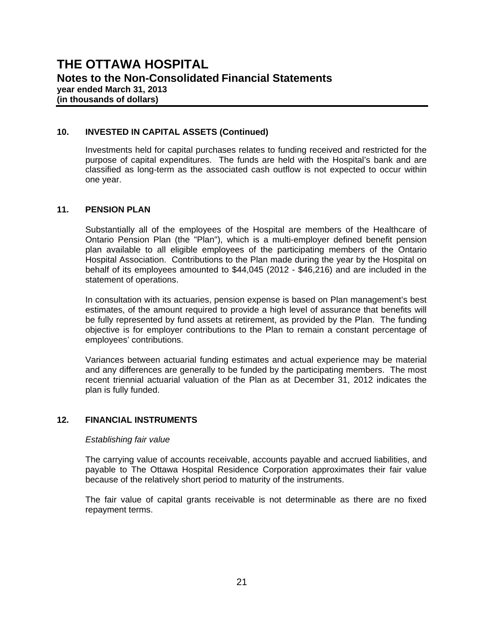## **10. INVESTED IN CAPITAL ASSETS (Continued)**

Investments held for capital purchases relates to funding received and restricted for the purpose of capital expenditures. The funds are held with the Hospital's bank and are classified as long-term as the associated cash outflow is not expected to occur within one year.

## **11. PENSION PLAN**

 Substantially all of the employees of the Hospital are members of the Healthcare of Ontario Pension Plan (the "Plan"), which is a multi-employer defined benefit pension plan available to all eligible employees of the participating members of the Ontario Hospital Association. Contributions to the Plan made during the year by the Hospital on behalf of its employees amounted to \$44,045 (2012 - \$46,216) and are included in the statement of operations.

 In consultation with its actuaries, pension expense is based on Plan management's best estimates, of the amount required to provide a high level of assurance that benefits will be fully represented by fund assets at retirement, as provided by the Plan. The funding objective is for employer contributions to the Plan to remain a constant percentage of employees' contributions.

 Variances between actuarial funding estimates and actual experience may be material and any differences are generally to be funded by the participating members. The most recent triennial actuarial valuation of the Plan as at December 31, 2012 indicates the plan is fully funded.

## **12. FINANCIAL INSTRUMENTS**

## *Establishing fair value*

The carrying value of accounts receivable, accounts payable and accrued liabilities, and payable to The Ottawa Hospital Residence Corporation approximates their fair value because of the relatively short period to maturity of the instruments.

The fair value of capital grants receivable is not determinable as there are no fixed repayment terms.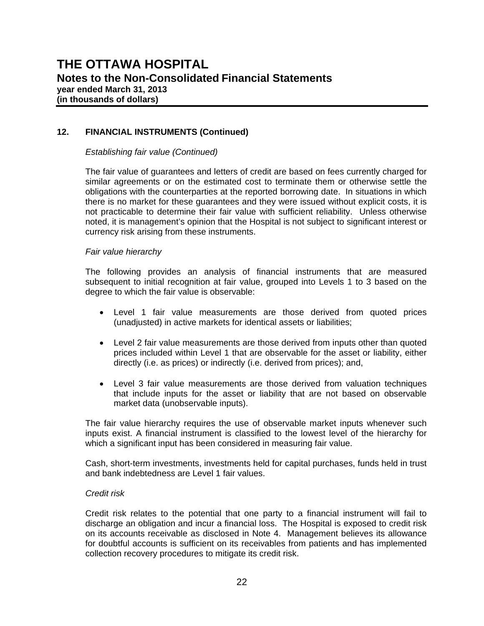## **12. FINANCIAL INSTRUMENTS (Continued)**

#### *Establishing fair value (Continued)*

 The fair value of guarantees and letters of credit are based on fees currently charged for similar agreements or on the estimated cost to terminate them or otherwise settle the obligations with the counterparties at the reported borrowing date. In situations in which there is no market for these guarantees and they were issued without explicit costs, it is not practicable to determine their fair value with sufficient reliability. Unless otherwise noted, it is management's opinion that the Hospital is not subject to significant interest or currency risk arising from these instruments.

#### *Fair value hierarchy*

 The following provides an analysis of financial instruments that are measured subsequent to initial recognition at fair value, grouped into Levels 1 to 3 based on the degree to which the fair value is observable:

- Level 1 fair value measurements are those derived from quoted prices (unadjusted) in active markets for identical assets or liabilities;
- Level 2 fair value measurements are those derived from inputs other than quoted prices included within Level 1 that are observable for the asset or liability, either directly (i.e. as prices) or indirectly (i.e. derived from prices); and,
- Level 3 fair value measurements are those derived from valuation techniques that include inputs for the asset or liability that are not based on observable market data (unobservable inputs).

The fair value hierarchy requires the use of observable market inputs whenever such inputs exist. A financial instrument is classified to the lowest level of the hierarchy for which a significant input has been considered in measuring fair value.

Cash, short-term investments, investments held for capital purchases, funds held in trust and bank indebtedness are Level 1 fair values.

## *Credit risk*

 Credit risk relates to the potential that one party to a financial instrument will fail to discharge an obligation and incur a financial loss. The Hospital is exposed to credit risk on its accounts receivable as disclosed in Note 4. Management believes its allowance for doubtful accounts is sufficient on its receivables from patients and has implemented collection recovery procedures to mitigate its credit risk.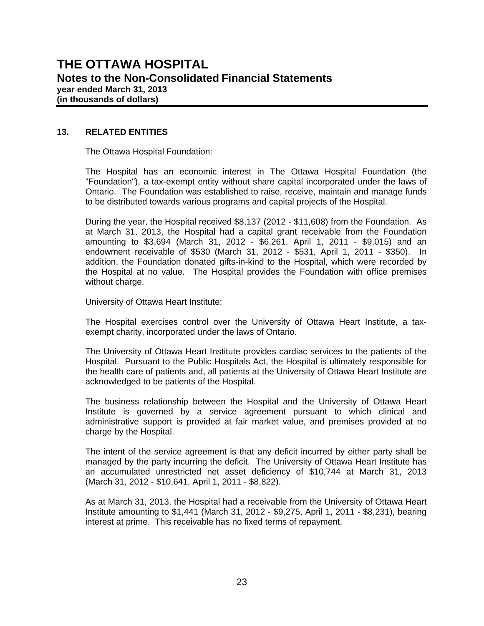## **13. RELATED ENTITIES**

The Ottawa Hospital Foundation:

 The Hospital has an economic interest in The Ottawa Hospital Foundation (the "Foundation"), a tax-exempt entity without share capital incorporated under the laws of Ontario. The Foundation was established to raise, receive, maintain and manage funds to be distributed towards various programs and capital projects of the Hospital.

 During the year, the Hospital received \$8,137 (2012 - \$11,608) from the Foundation. As at March 31, 2013, the Hospital had a capital grant receivable from the Foundation amounting to \$3,694 (March 31, 2012 - \$6,261, April 1, 2011 - \$9,015) and an endowment receivable of \$530 (March 31, 2012 - \$531, April 1, 2011 - \$350). In addition, the Foundation donated gifts-in-kind to the Hospital, which were recorded by the Hospital at no value. The Hospital provides the Foundation with office premises without charge.

University of Ottawa Heart Institute:

 The Hospital exercises control over the University of Ottawa Heart Institute, a taxexempt charity, incorporated under the laws of Ontario.

 The University of Ottawa Heart Institute provides cardiac services to the patients of the Hospital. Pursuant to the Public Hospitals Act, the Hospital is ultimately responsible for the health care of patients and, all patients at the University of Ottawa Heart Institute are acknowledged to be patients of the Hospital.

 The business relationship between the Hospital and the University of Ottawa Heart Institute is governed by a service agreement pursuant to which clinical and administrative support is provided at fair market value, and premises provided at no charge by the Hospital.

 The intent of the service agreement is that any deficit incurred by either party shall be managed by the party incurring the deficit. The University of Ottawa Heart Institute has an accumulated unrestricted net asset deficiency of \$10,744 at March 31, 2013 (March 31, 2012 - \$10,641, April 1, 2011 - \$8,822).

 As at March 31, 2013, the Hospital had a receivable from the University of Ottawa Heart Institute amounting to \$1,441 (March 31, 2012 - \$9,275, April 1, 2011 - \$8,231), bearing interest at prime. This receivable has no fixed terms of repayment.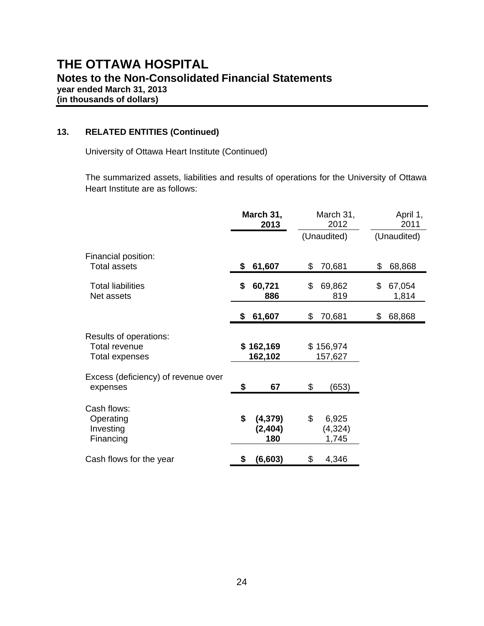# **13. RELATED ENTITIES (Continued)**

University of Ottawa Heart Institute (Continued)

The summarized assets, liabilities and results of operations for the University of Ottawa Heart Institute are as follows:

|                                                           | March 31,<br>2013 |                             | March 31,<br>2012 |                            | April 1,<br>2011      |  |
|-----------------------------------------------------------|-------------------|-----------------------------|-------------------|----------------------------|-----------------------|--|
|                                                           |                   |                             |                   | (Unaudited)                | (Unaudited)           |  |
| Financial position:<br><b>Total assets</b>                | \$                | 61,607                      | \$                | 70,681                     | \$<br>68,868          |  |
| <b>Total liabilities</b><br>Net assets                    | \$                | 60,721<br>886               | \$                | 69,862<br>819              | \$<br>67,054<br>1,814 |  |
|                                                           | S                 | 61,607                      | \$                | 70,681                     | \$<br>68,868          |  |
| Results of operations:<br>Total revenue<br>Total expenses |                   | \$162,169<br>162,102        |                   | \$156,974<br>157,627       |                       |  |
| Excess (deficiency) of revenue over<br>expenses           | \$                | 67                          | \$                | (653)                      |                       |  |
| Cash flows:<br>Operating<br>Investing<br>Financing        | \$                | (4, 379)<br>(2, 404)<br>180 | \$                | 6,925<br>(4, 324)<br>1,745 |                       |  |
| Cash flows for the year                                   | 55                | (6, 603)                    | \$                | 4,346                      |                       |  |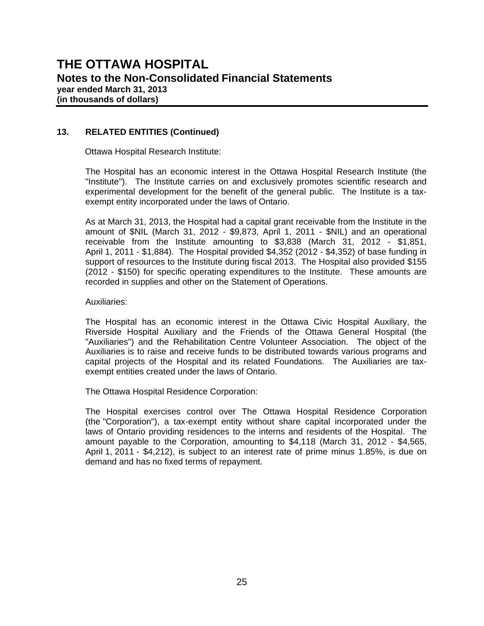## **13. RELATED ENTITIES (Continued)**

Ottawa Hospital Research Institute:

 The Hospital has an economic interest in the Ottawa Hospital Research Institute (the "Institute"). The Institute carries on and exclusively promotes scientific research and experimental development for the benefit of the general public. The Institute is a taxexempt entity incorporated under the laws of Ontario.

 As at March 31, 2013, the Hospital had a capital grant receivable from the Institute in the amount of \$NIL (March 31, 2012 - \$9,873, April 1, 2011 - \$NIL) and an operational receivable from the Institute amounting to \$3,838 (March 31, 2012 - \$1,851, April 1, 2011 - \$1,884). The Hospital provided \$4,352 (2012 - \$4,352) of base funding in support of resources to the Institute during fiscal 2013. The Hospital also provided \$155 (2012 - \$150) for specific operating expenditures to the Institute. These amounts are recorded in supplies and other on the Statement of Operations.

Auxiliaries:

 The Hospital has an economic interest in the Ottawa Civic Hospital Auxiliary, the Riverside Hospital Auxiliary and the Friends of the Ottawa General Hospital (the "Auxiliaries") and the Rehabilitation Centre Volunteer Association. The object of the Auxiliaries is to raise and receive funds to be distributed towards various programs and capital projects of the Hospital and its related Foundations. The Auxiliaries are taxexempt entities created under the laws of Ontario.

The Ottawa Hospital Residence Corporation:

 The Hospital exercises control over The Ottawa Hospital Residence Corporation (the "Corporation"), a tax-exempt entity without share capital incorporated under the laws of Ontario providing residences to the interns and residents of the Hospital. The amount payable to the Corporation, amounting to \$4,118 (March 31, 2012 - \$4,565, April 1, 2011 - \$4,212), is subject to an interest rate of prime minus 1.85%, is due on demand and has no fixed terms of repayment.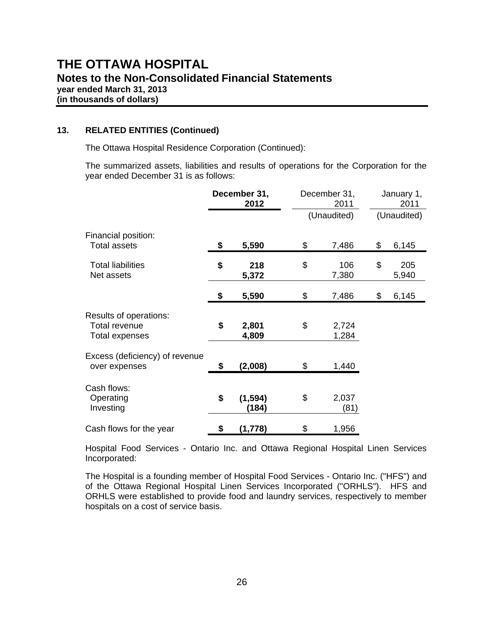**13. RELATED ENTITIES (Continued)**

The Ottawa Hospital Residence Corporation (Continued):

 The summarized assets, liabilities and results of operations for the Corporation for the year ended December 31 is as follows:

|                                                           | December 31,<br>2012    | December 31,<br>2011 | January 1,<br>2011 |              |
|-----------------------------------------------------------|-------------------------|----------------------|--------------------|--------------|
|                                                           |                         | (Unaudited)          |                    | (Unaudited)  |
| Financial position:<br><b>Total assets</b>                | \$<br>5,590             | \$<br>7,486          | \$                 | 6,145        |
| <b>Total liabilities</b><br>Net assets                    | \$<br>218<br>5,372      | \$<br>106<br>7,380   | \$                 | 205<br>5,940 |
|                                                           | \$<br>5,590             | \$<br>7,486          | \$                 | 6,145        |
| Results of operations:<br>Total revenue<br>Total expenses | \$<br>2,801<br>4,809    | \$<br>2,724<br>1,284 |                    |              |
| Excess (deficiency) of revenue<br>over expenses           | \$<br>(2,008)           | \$<br>1,440          |                    |              |
| Cash flows:<br>Operating<br>Investing                     | \$<br>(1, 594)<br>(184) | \$<br>2,037<br>(81)  |                    |              |
| Cash flows for the year                                   | \$<br>(1,778)           | \$<br>1,956          |                    |              |

 Hospital Food Services - Ontario Inc. and Ottawa Regional Hospital Linen Services Incorporated:

 The Hospital is a founding member of Hospital Food Services - Ontario Inc. ("HFS") and of the Ottawa Regional Hospital Linen Services Incorporated ("ORHLS"). HFS and ORHLS were established to provide food and laundry services, respectively to member hospitals on a cost of service basis.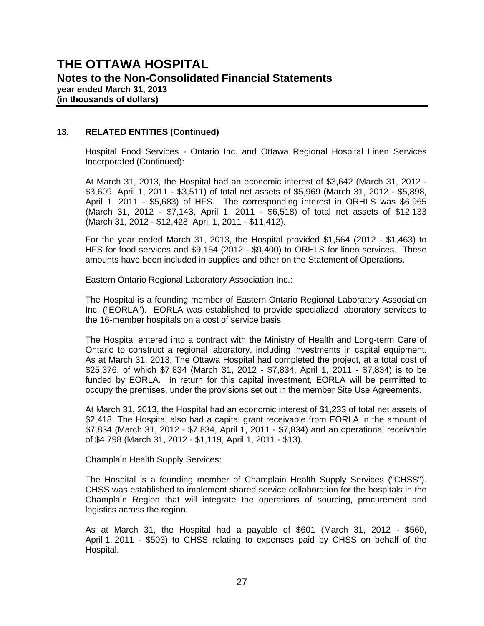## **13. RELATED ENTITIES (Continued)**

 Hospital Food Services - Ontario Inc. and Ottawa Regional Hospital Linen Services Incorporated (Continued):

 At March 31, 2013, the Hospital had an economic interest of \$3,642 (March 31, 2012 - \$3,609, April 1, 2011 - \$3,511) of total net assets of \$5,969 (March 31, 2012 - \$5,898, April 1, 2011 - \$5,683) of HFS. The corresponding interest in ORHLS was \$6,965 (March 31, 2012 - \$7,143, April 1, 2011 - \$6,518) of total net assets of \$12,133 (March 31, 2012 - \$12,428, April 1, 2011 - \$11,412).

 For the year ended March 31, 2013, the Hospital provided \$1,564 (2012 - \$1,463) to HFS for food services and \$9,154 (2012 - \$9,400) to ORHLS for linen services. These amounts have been included in supplies and other on the Statement of Operations.

Eastern Ontario Regional Laboratory Association Inc.:

 The Hospital is a founding member of Eastern Ontario Regional Laboratory Association Inc. ("EORLA"). EORLA was established to provide specialized laboratory services to the 16-member hospitals on a cost of service basis.

 The Hospital entered into a contract with the Ministry of Health and Long-term Care of Ontario to construct a regional laboratory, including investments in capital equipment. As at March 31, 2013, The Ottawa Hospital had completed the project, at a total cost of \$25,376, of which \$7,834 (March 31, 2012 - \$7,834, April 1, 2011 - \$7,834) is to be funded by EORLA. In return for this capital investment, EORLA will be permitted to occupy the premises, under the provisions set out in the member Site Use Agreements.

 At March 31, 2013, the Hospital had an economic interest of \$1,233 of total net assets of \$2,418. The Hospital also had a capital grant receivable from EORLA in the amount of \$7,834 (March 31, 2012 - \$7,834, April 1, 2011 - \$7,834) and an operational receivable of \$4,798 (March 31, 2012 - \$1,119, April 1, 2011 - \$13).

Champlain Health Supply Services:

 The Hospital is a founding member of Champlain Health Supply Services ("CHSS"). CHSS was established to implement shared service collaboration for the hospitals in the Champlain Region that will integrate the operations of sourcing, procurement and logistics across the region.

 As at March 31, the Hospital had a payable of \$601 (March 31, 2012 - \$560, April 1, 2011 - \$503) to CHSS relating to expenses paid by CHSS on behalf of the Hospital.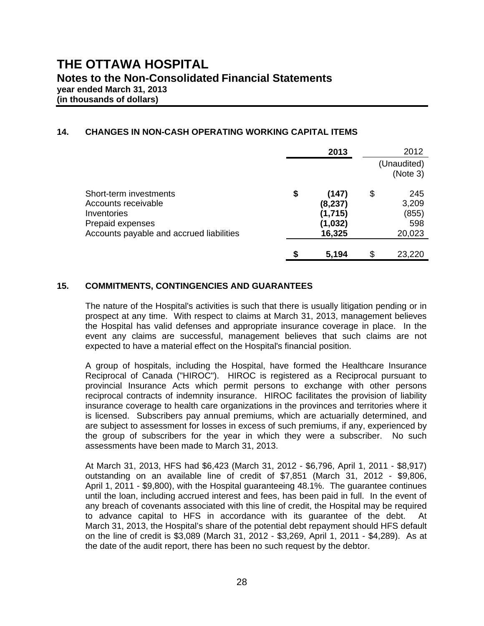## **14. CHANGES IN NON-CASH OPERATING WORKING CAPITAL ITEMS**

|                                                                                                                              | 2013                                                   | 2012                                         |
|------------------------------------------------------------------------------------------------------------------------------|--------------------------------------------------------|----------------------------------------------|
|                                                                                                                              |                                                        | (Unaudited)<br>(Note 3)                      |
| Short-term investments<br>Accounts receivable<br>Inventories<br>Prepaid expenses<br>Accounts payable and accrued liabilities | \$<br>(147)<br>(8,237)<br>(1,715)<br>(1,032)<br>16,325 | \$<br>245<br>3,209<br>(855)<br>598<br>20,023 |
|                                                                                                                              | \$<br>5,194                                            | \$<br>23,220                                 |

## **15. COMMITMENTS, CONTINGENCIES AND GUARANTEES**

 The nature of the Hospital's activities is such that there is usually litigation pending or in prospect at any time. With respect to claims at March 31, 2013, management believes the Hospital has valid defenses and appropriate insurance coverage in place. In the event any claims are successful, management believes that such claims are not expected to have a material effect on the Hospital's financial position.

 A group of hospitals, including the Hospital, have formed the Healthcare Insurance Reciprocal of Canada ("HIROC"). HIROC is registered as a Reciprocal pursuant to provincial Insurance Acts which permit persons to exchange with other persons reciprocal contracts of indemnity insurance. HIROC facilitates the provision of liability insurance coverage to health care organizations in the provinces and territories where it is licensed. Subscribers pay annual premiums, which are actuarially determined, and are subject to assessment for losses in excess of such premiums, if any, experienced by the group of subscribers for the year in which they were a subscriber. No such assessments have been made to March 31, 2013.

At March 31, 2013, HFS had \$6,423 (March 31, 2012 - \$6,796, April 1, 2011 - \$8,917) outstanding on an available line of credit of \$7,851 (March 31, 2012 - \$9,806, April 1, 2011 - \$9,800), with the Hospital guaranteeing 48.1%. The guarantee continues until the loan, including accrued interest and fees, has been paid in full. In the event of any breach of covenants associated with this line of credit, the Hospital may be required to advance capital to HFS in accordance with its guarantee of the debt. At March 31, 2013, the Hospital's share of the potential debt repayment should HFS default on the line of credit is \$3,089 (March 31, 2012 - \$3,269, April 1, 2011 - \$4,289). As at the date of the audit report, there has been no such request by the debtor.